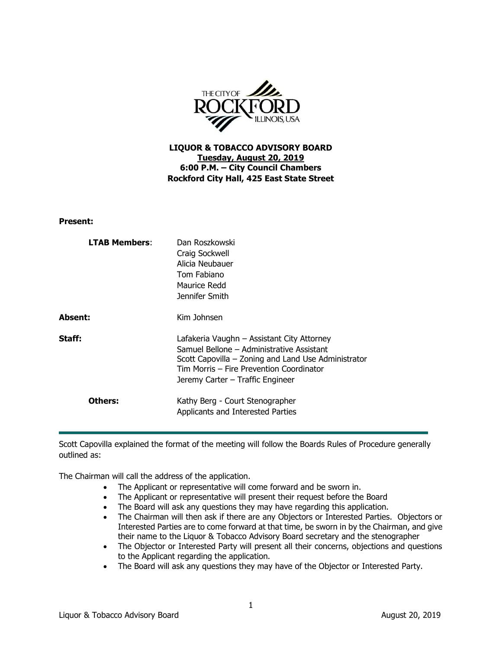

**LIQUOR & TOBACCO ADVISORY BOARD Tuesday, August 20, 2019 6:00 P.M. – City Council Chambers Rockford City Hall, 425 East State Street**

**Present:**

| <b>LTAB Members:</b> | Dan Roszkowski<br>Craig Sockwell<br>Alicia Neubauer<br>Tom Fabiano<br>Maurice Redd<br>Jennifer Smith                                                                                                                           |
|----------------------|--------------------------------------------------------------------------------------------------------------------------------------------------------------------------------------------------------------------------------|
| Absent:              | Kim Johnsen                                                                                                                                                                                                                    |
| Staff:               | Lafakeria Vaughn - Assistant City Attorney<br>Samuel Bellone - Administrative Assistant<br>Scott Capovilla – Zoning and Land Use Administrator<br>Tim Morris – Fire Prevention Coordinator<br>Jeremy Carter – Traffic Engineer |
| Others:              | Kathy Berg - Court Stenographer<br>Applicants and Interested Parties                                                                                                                                                           |

Scott Capovilla explained the format of the meeting will follow the Boards Rules of Procedure generally outlined as:

The Chairman will call the address of the application.

- The Applicant or representative will come forward and be sworn in.
- The Applicant or representative will present their request before the Board
- The Board will ask any questions they may have regarding this application.
- The Chairman will then ask if there are any Objectors or Interested Parties. Objectors or Interested Parties are to come forward at that time, be sworn in by the Chairman, and give their name to the Liquor & Tobacco Advisory Board secretary and the stenographer
- The Objector or Interested Party will present all their concerns, objections and questions to the Applicant regarding the application.
- The Board will ask any questions they may have of the Objector or Interested Party.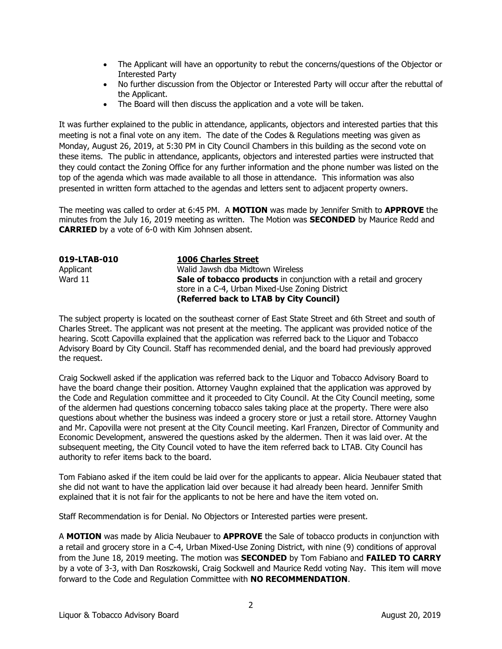- The Applicant will have an opportunity to rebut the concerns/questions of the Objector or Interested Party
- No further discussion from the Objector or Interested Party will occur after the rebuttal of the Applicant.
- The Board will then discuss the application and a vote will be taken.

It was further explained to the public in attendance, applicants, objectors and interested parties that this meeting is not a final vote on any item. The date of the Codes & Regulations meeting was given as Monday, August 26, 2019, at 5:30 PM in City Council Chambers in this building as the second vote on these items. The public in attendance, applicants, objectors and interested parties were instructed that they could contact the Zoning Office for any further information and the phone number was listed on the top of the agenda which was made available to all those in attendance. This information was also presented in written form attached to the agendas and letters sent to adjacent property owners.

The meeting was called to order at 6:45 PM. A **MOTION** was made by Jennifer Smith to **APPROVE** the minutes from the July 16, 2019 meeting as written. The Motion was **SECONDED** by Maurice Redd and **CARRIED** by a vote of 6-0 with Kim Johnsen absent.

| 019-LTAB-010 | <b>1006 Charles Street</b>                                        |
|--------------|-------------------------------------------------------------------|
| Applicant    | Walid Jawsh dba Midtown Wireless                                  |
| Ward 11      | Sale of tobacco products in conjunction with a retail and grocery |
|              | store in a C-4, Urban Mixed-Use Zoning District                   |
|              | (Referred back to LTAB by City Council)                           |

The subject property is located on the southeast corner of East State Street and 6th Street and south of Charles Street. The applicant was not present at the meeting. The applicant was provided notice of the hearing. Scott Capovilla explained that the application was referred back to the Liquor and Tobacco Advisory Board by City Council. Staff has recommended denial, and the board had previously approved the request.

Craig Sockwell asked if the application was referred back to the Liquor and Tobacco Advisory Board to have the board change their position. Attorney Vaughn explained that the application was approved by the Code and Regulation committee and it proceeded to City Council. At the City Council meeting, some of the aldermen had questions concerning tobacco sales taking place at the property. There were also questions about whether the business was indeed a grocery store or just a retail store. Attorney Vaughn and Mr. Capovilla were not present at the City Council meeting. Karl Franzen, Director of Community and Economic Development, answered the questions asked by the aldermen. Then it was laid over. At the subsequent meeting, the City Council voted to have the item referred back to LTAB. City Council has authority to refer items back to the board.

Tom Fabiano asked if the item could be laid over for the applicants to appear. Alicia Neubauer stated that she did not want to have the application laid over because it had already been heard. Jennifer Smith explained that it is not fair for the applicants to not be here and have the item voted on.

Staff Recommendation is for Denial. No Objectors or Interested parties were present.

A **MOTION** was made by Alicia Neubauer to **APPROVE** the Sale of tobacco products in conjunction with a retail and grocery store in a C-4, Urban Mixed-Use Zoning District, with nine (9) conditions of approval from the June 18, 2019 meeting. The motion was **SECONDED** by Tom Fabiano and **FAILED TO CARRY** by a vote of 3-3, with Dan Roszkowski, Craig Sockwell and Maurice Redd voting Nay. This item will move forward to the Code and Regulation Committee with **NO RECOMMENDATION**.